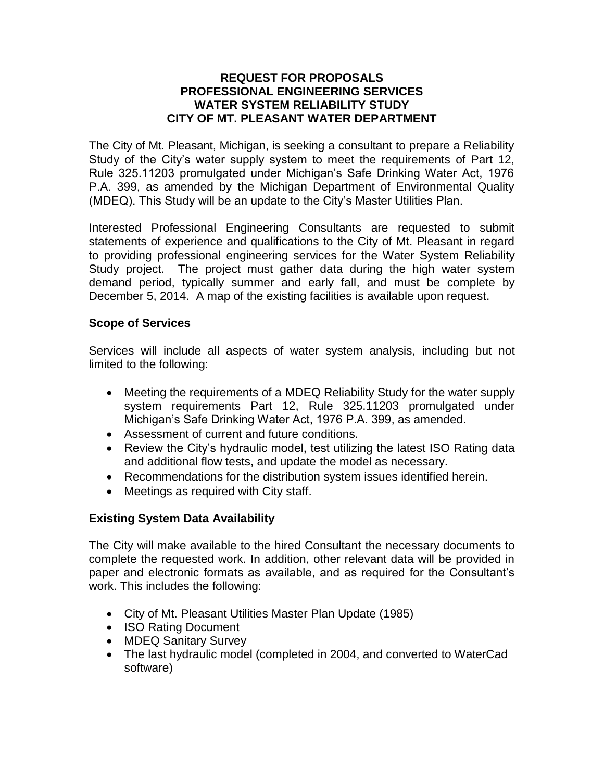#### **REQUEST FOR PROPOSALS PROFESSIONAL ENGINEERING SERVICES WATER SYSTEM RELIABILITY STUDY CITY OF MT. PLEASANT WATER DEPARTMENT**

The City of Mt. Pleasant, Michigan, is seeking a consultant to prepare a Reliability Study of the City's water supply system to meet the requirements of Part 12, Rule 325.11203 promulgated under Michigan's Safe Drinking Water Act, 1976 P.A. 399, as amended by the Michigan Department of Environmental Quality (MDEQ). This Study will be an update to the City's Master Utilities Plan.

Interested Professional Engineering Consultants are requested to submit statements of experience and qualifications to the City of Mt. Pleasant in regard to providing professional engineering services for the Water System Reliability Study project. The project must gather data during the high water system demand period, typically summer and early fall, and must be complete by December 5, 2014. A map of the existing facilities is available upon request.

## **Scope of Services**

Services will include all aspects of water system analysis, including but not limited to the following:

- Meeting the requirements of a MDEQ Reliability Study for the water supply system requirements Part 12, Rule 325.11203 promulgated under Michigan's Safe Drinking Water Act, 1976 P.A. 399, as amended.
- Assessment of current and future conditions.
- Review the City's hydraulic model, test utilizing the latest ISO Rating data and additional flow tests, and update the model as necessary.
- Recommendations for the distribution system issues identified herein.
- Meetings as required with City staff.

# **Existing System Data Availability**

The City will make available to the hired Consultant the necessary documents to complete the requested work. In addition, other relevant data will be provided in paper and electronic formats as available, and as required for the Consultant's work. This includes the following:

- City of Mt. Pleasant Utilities Master Plan Update (1985)
- ISO Rating Document
- MDEQ Sanitary Survey
- The last hydraulic model (completed in 2004, and converted to WaterCad software)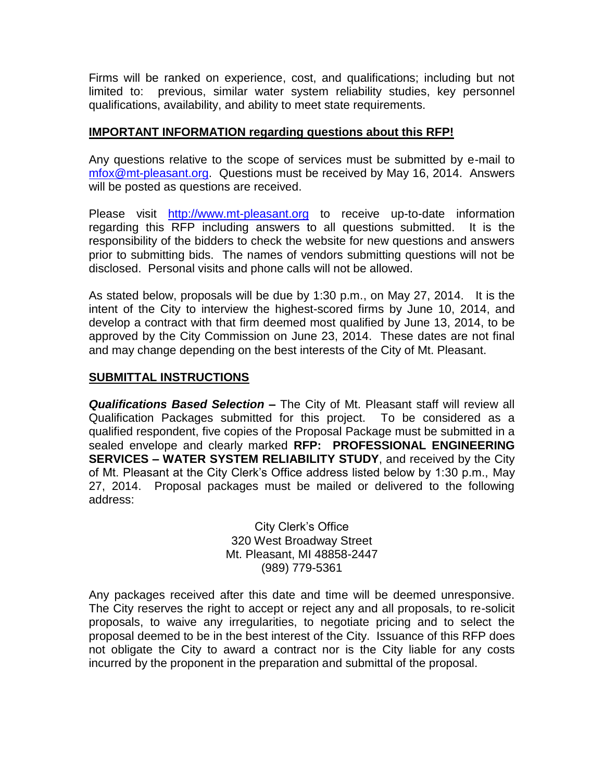Firms will be ranked on experience, cost, and qualifications; including but not limited to: previous, similar water system reliability studies, key personnel qualifications, availability, and ability to meet state requirements.

#### **IMPORTANT INFORMATION regarding questions about this RFP!**

Any questions relative to the scope of services must be submitted by e-mail to [mfox@mt-pleasant.org.](mailto:mfox@mt-pleasant.org) Questions must be received by May 16, 2014. Answers will be posted as questions are received.

Please visit [http://www.mt-pleasant.org](http://www.mt-pleasant.org/departments/division_of_admin_and_financial_services/finance/bids_and_quotes.asp) to receive up-to-date information regarding this RFP including answers to all questions submitted. It is the responsibility of the bidders to check the website for new questions and answers prior to submitting bids. The names of vendors submitting questions will not be disclosed. Personal visits and phone calls will not be allowed.

As stated below, proposals will be due by 1:30 p.m., on May 27, 2014. It is the intent of the City to interview the highest-scored firms by June 10, 2014, and develop a contract with that firm deemed most qualified by June 13, 2014, to be approved by the City Commission on June 23, 2014. These dates are not final and may change depending on the best interests of the City of Mt. Pleasant.

# **SUBMITTAL INSTRUCTIONS**

*Qualifications Based Selection –* The City of Mt. Pleasant staff will review all Qualification Packages submitted for this project. To be considered as a qualified respondent, five copies of the Proposal Package must be submitted in a sealed envelope and clearly marked **RFP: PROFESSIONAL ENGINEERING SERVICES – WATER SYSTEM RELIABILITY STUDY**, and received by the City of Mt. Pleasant at the City Clerk's Office address listed below by 1:30 p.m., May 27, 2014. Proposal packages must be mailed or delivered to the following address:

> City Clerk's Office 320 West Broadway Street Mt. Pleasant, MI 48858-2447 (989) 779-5361

Any packages received after this date and time will be deemed unresponsive. The City reserves the right to accept or reject any and all proposals, to re-solicit proposals, to waive any irregularities, to negotiate pricing and to select the proposal deemed to be in the best interest of the City. Issuance of this RFP does not obligate the City to award a contract nor is the City liable for any costs incurred by the proponent in the preparation and submittal of the proposal.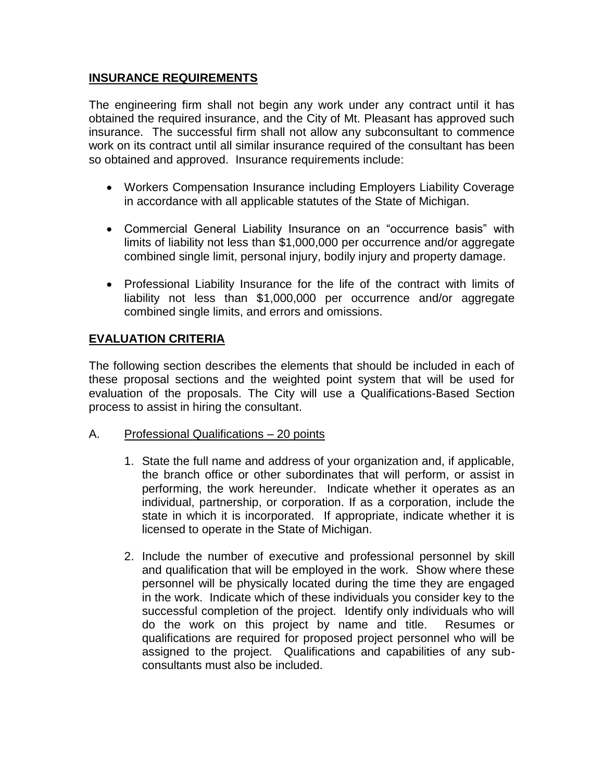## **INSURANCE REQUIREMENTS**

The engineering firm shall not begin any work under any contract until it has obtained the required insurance, and the City of Mt. Pleasant has approved such insurance. The successful firm shall not allow any subconsultant to commence work on its contract until all similar insurance required of the consultant has been so obtained and approved. Insurance requirements include:

- Workers Compensation Insurance including Employers Liability Coverage in accordance with all applicable statutes of the State of Michigan.
- Commercial General Liability Insurance on an "occurrence basis" with limits of liability not less than \$1,000,000 per occurrence and/or aggregate combined single limit, personal injury, bodily injury and property damage.
- Professional Liability Insurance for the life of the contract with limits of liability not less than \$1,000,000 per occurrence and/or aggregate combined single limits, and errors and omissions.

## **EVALUATION CRITERIA**

The following section describes the elements that should be included in each of these proposal sections and the weighted point system that will be used for evaluation of the proposals. The City will use a Qualifications-Based Section process to assist in hiring the consultant.

#### A. Professional Qualifications – 20 points

- 1. State the full name and address of your organization and, if applicable, the branch office or other subordinates that will perform, or assist in performing, the work hereunder. Indicate whether it operates as an individual, partnership, or corporation. If as a corporation, include the state in which it is incorporated. If appropriate, indicate whether it is licensed to operate in the State of Michigan.
- 2. Include the number of executive and professional personnel by skill and qualification that will be employed in the work. Show where these personnel will be physically located during the time they are engaged in the work. Indicate which of these individuals you consider key to the successful completion of the project. Identify only individuals who will do the work on this project by name and title. Resumes or qualifications are required for proposed project personnel who will be assigned to the project. Qualifications and capabilities of any subconsultants must also be included.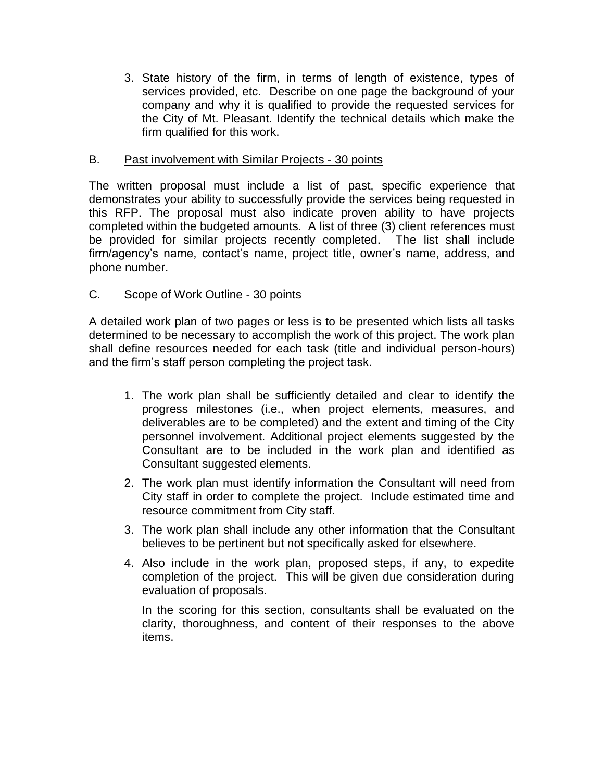3. State history of the firm, in terms of length of existence, types of services provided, etc. Describe on one page the background of your company and why it is qualified to provide the requested services for the City of Mt. Pleasant. Identify the technical details which make the firm qualified for this work.

## B. Past involvement with Similar Projects - 30 points

The written proposal must include a list of past, specific experience that demonstrates your ability to successfully provide the services being requested in this RFP. The proposal must also indicate proven ability to have projects completed within the budgeted amounts. A list of three (3) client references must be provided for similar projects recently completed. The list shall include firm/agency's name, contact's name, project title, owner's name, address, and phone number.

## C. Scope of Work Outline - 30 points

A detailed work plan of two pages or less is to be presented which lists all tasks determined to be necessary to accomplish the work of this project. The work plan shall define resources needed for each task (title and individual person-hours) and the firm's staff person completing the project task.

- 1. The work plan shall be sufficiently detailed and clear to identify the progress milestones (i.e., when project elements, measures, and deliverables are to be completed) and the extent and timing of the City personnel involvement. Additional project elements suggested by the Consultant are to be included in the work plan and identified as Consultant suggested elements.
- 2. The work plan must identify information the Consultant will need from City staff in order to complete the project. Include estimated time and resource commitment from City staff.
- 3. The work plan shall include any other information that the Consultant believes to be pertinent but not specifically asked for elsewhere.
- 4. Also include in the work plan, proposed steps, if any, to expedite completion of the project. This will be given due consideration during evaluation of proposals.

In the scoring for this section, consultants shall be evaluated on the clarity, thoroughness, and content of their responses to the above items.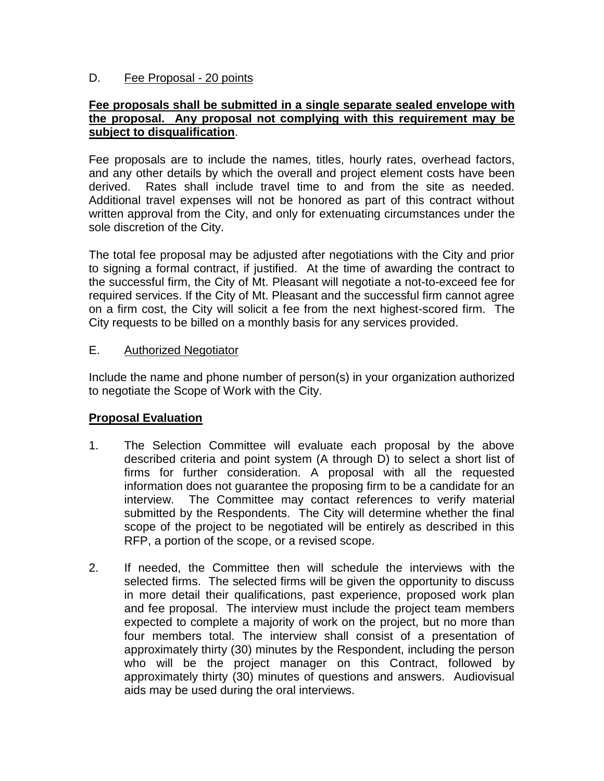#### D. Fee Proposal - 20 points

#### **Fee proposals shall be submitted in a single separate sealed envelope with the proposal. Any proposal not complying with this requirement may be subject to disqualification**.

Fee proposals are to include the names, titles, hourly rates, overhead factors, and any other details by which the overall and project element costs have been derived. Rates shall include travel time to and from the site as needed. Additional travel expenses will not be honored as part of this contract without written approval from the City, and only for extenuating circumstances under the sole discretion of the City.

The total fee proposal may be adjusted after negotiations with the City and prior to signing a formal contract, if justified. At the time of awarding the contract to the successful firm, the City of Mt. Pleasant will negotiate a not-to-exceed fee for required services. If the City of Mt. Pleasant and the successful firm cannot agree on a firm cost, the City will solicit a fee from the next highest-scored firm. The City requests to be billed on a monthly basis for any services provided.

## E. Authorized Negotiator

Include the name and phone number of person(s) in your organization authorized to negotiate the Scope of Work with the City.

# **Proposal Evaluation**

- 1. The Selection Committee will evaluate each proposal by the above described criteria and point system (A through D) to select a short list of firms for further consideration. A proposal with all the requested information does not guarantee the proposing firm to be a candidate for an interview. The Committee may contact references to verify material submitted by the Respondents. The City will determine whether the final scope of the project to be negotiated will be entirely as described in this RFP, a portion of the scope, or a revised scope.
- 2. If needed, the Committee then will schedule the interviews with the selected firms. The selected firms will be given the opportunity to discuss in more detail their qualifications, past experience, proposed work plan and fee proposal. The interview must include the project team members expected to complete a majority of work on the project, but no more than four members total. The interview shall consist of a presentation of approximately thirty (30) minutes by the Respondent, including the person who will be the project manager on this Contract, followed by approximately thirty (30) minutes of questions and answers. Audiovisual aids may be used during the oral interviews.